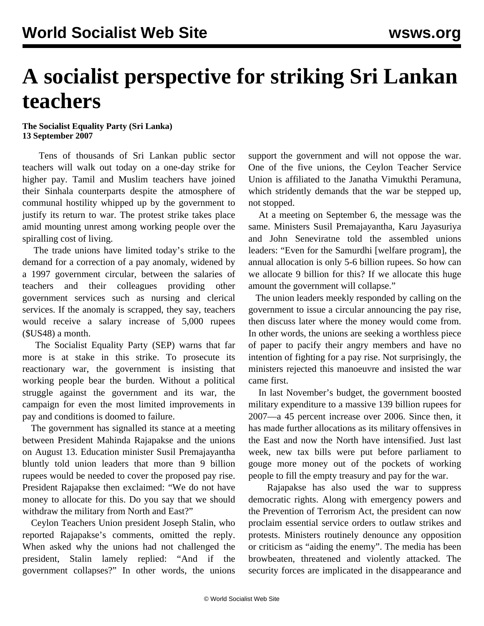## **A socialist perspective for striking Sri Lankan teachers**

## **The Socialist Equality Party (Sri Lanka) 13 September 2007**

 Tens of thousands of Sri Lankan public sector teachers will walk out today on a one-day strike for higher pay. Tamil and Muslim teachers have joined their Sinhala counterparts despite the atmosphere of communal hostility whipped up by the government to justify its return to war. The protest strike takes place amid mounting unrest among working people over the spiralling cost of living.

 The trade unions have limited today's strike to the demand for a correction of a pay anomaly, widened by a 1997 government circular, between the salaries of teachers and their colleagues providing other government services such as nursing and clerical services. If the anomaly is scrapped, they say, teachers would receive a salary increase of 5,000 rupees (\$US48) a month.

 The Socialist Equality Party (SEP) warns that far more is at stake in this strike. To prosecute its reactionary war, the government is insisting that working people bear the burden. Without a political struggle against the government and its war, the campaign for even the most limited improvements in pay and conditions is doomed to failure.

 The government has signalled its stance at a meeting between President Mahinda Rajapakse and the unions on August 13. Education minister Susil Premajayantha bluntly told union leaders that more than 9 billion rupees would be needed to cover the proposed pay rise. President Rajapakse then exclaimed: "We do not have money to allocate for this. Do you say that we should withdraw the military from North and East?"

 Ceylon Teachers Union president Joseph Stalin, who reported Rajapakse's comments, omitted the reply. When asked why the unions had not challenged the president, Stalin lamely replied: "And if the government collapses?" In other words, the unions support the government and will not oppose the war. One of the five unions, the Ceylon Teacher Service Union is affiliated to the Janatha Vimukthi Peramuna, which stridently demands that the war be stepped up, not stopped.

 At a meeting on September 6, the message was the same. Ministers Susil Premajayantha, Karu Jayasuriya and John Seneviratne told the assembled unions leaders: "Even for the Samurdhi [welfare program], the annual allocation is only 5-6 billion rupees. So how can we allocate 9 billion for this? If we allocate this huge amount the government will collapse."

 The union leaders meekly responded by calling on the government to issue a circular announcing the pay rise, then discuss later where the money would come from. In other words, the unions are seeking a worthless piece of paper to pacify their angry members and have no intention of fighting for a pay rise. Not surprisingly, the ministers rejected this manoeuvre and insisted the war came first.

 In last November's budget, the government boosted military expenditure to a massive 139 billion rupees for 2007—a 45 percent increase over 2006. Since then, it has made further allocations as its military offensives in the East and now the North have intensified. Just last week, new tax bills were put before parliament to gouge more money out of the pockets of working people to fill the empty treasury and pay for the war.

 Rajapakse has also used the war to suppress democratic rights. Along with emergency powers and the Prevention of Terrorism Act, the president can now proclaim essential service orders to outlaw strikes and protests. Ministers routinely denounce any opposition or criticism as "aiding the enemy". The media has been browbeaten, threatened and violently attacked. The security forces are implicated in the disappearance and